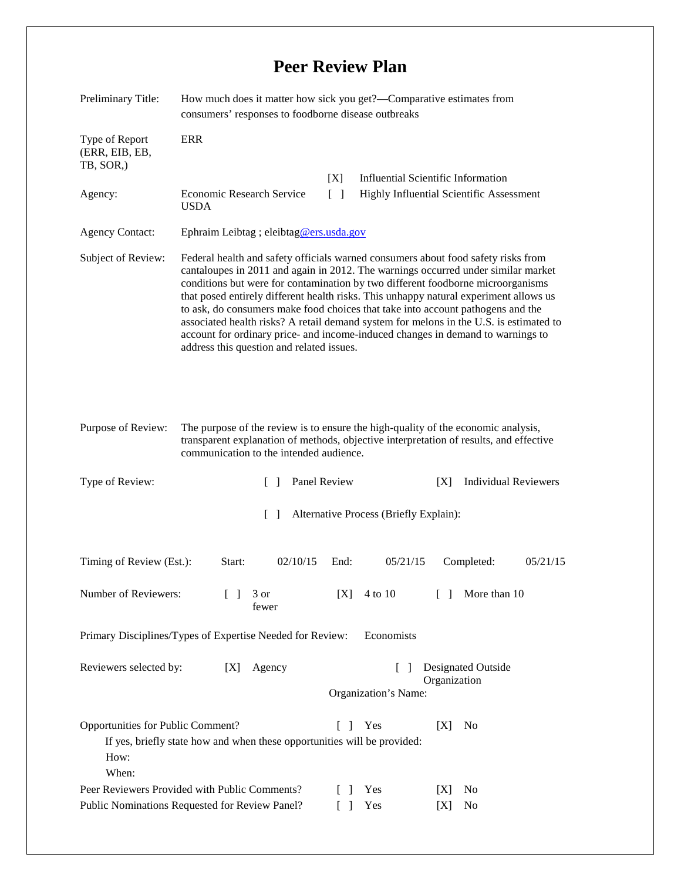## **Peer Review Plan**

| Preliminary Title:                                                                              | How much does it matter how sick you get?—Comparative estimates from<br>consumers' responses to foodborne disease outbreaks                                                                                                                                                                                                                                                                                                                                                                                                                                                                                                                                     |                                                                          |                                                                                       |            |            |                      |          |
|-------------------------------------------------------------------------------------------------|-----------------------------------------------------------------------------------------------------------------------------------------------------------------------------------------------------------------------------------------------------------------------------------------------------------------------------------------------------------------------------------------------------------------------------------------------------------------------------------------------------------------------------------------------------------------------------------------------------------------------------------------------------------------|--------------------------------------------------------------------------|---------------------------------------------------------------------------------------|------------|------------|----------------------|----------|
| Type of Report<br>(ERR, EIB, EB,<br>TB, SOR,)                                                   | <b>ERR</b>                                                                                                                                                                                                                                                                                                                                                                                                                                                                                                                                                                                                                                                      |                                                                          |                                                                                       |            |            |                      |          |
| Agency:                                                                                         | <b>Economic Research Service</b><br><b>USDA</b>                                                                                                                                                                                                                                                                                                                                                                                                                                                                                                                                                                                                                 | [X]<br>$\lceil$ $\rceil$                                                 | <b>Influential Scientific Information</b><br>Highly Influential Scientific Assessment |            |            |                      |          |
| <b>Agency Contact:</b>                                                                          | Ephraim Leibtag ; eleibtag@ers.usda.gov                                                                                                                                                                                                                                                                                                                                                                                                                                                                                                                                                                                                                         |                                                                          |                                                                                       |            |            |                      |          |
| Subject of Review:                                                                              | Federal health and safety officials warned consumers about food safety risks from<br>cantaloupes in 2011 and again in 2012. The warnings occurred under similar market<br>conditions but were for contamination by two different foodborne microorganisms<br>that posed entirely different health risks. This unhappy natural experiment allows us<br>to ask, do consumers make food choices that take into account pathogens and the<br>associated health risks? A retail demand system for melons in the U.S. is estimated to<br>account for ordinary price- and income-induced changes in demand to warnings to<br>address this question and related issues. |                                                                          |                                                                                       |            |            |                      |          |
| Purpose of Review:                                                                              | The purpose of the review is to ensure the high-quality of the economic analysis,<br>transparent explanation of methods, objective interpretation of results, and effective<br>communication to the intended audience.                                                                                                                                                                                                                                                                                                                                                                                                                                          |                                                                          |                                                                                       |            |            |                      |          |
| Type of Review:                                                                                 | Panel Review<br><b>Individual Reviewers</b><br>[X]<br>$\Box$                                                                                                                                                                                                                                                                                                                                                                                                                                                                                                                                                                                                    |                                                                          |                                                                                       |            |            |                      |          |
| $\lceil \ \rceil$<br>Alternative Process (Briefly Explain):                                     |                                                                                                                                                                                                                                                                                                                                                                                                                                                                                                                                                                                                                                                                 |                                                                          |                                                                                       |            |            |                      |          |
| Timing of Review (Est.):                                                                        | Start:                                                                                                                                                                                                                                                                                                                                                                                                                                                                                                                                                                                                                                                          | 02/10/15                                                                 | End:                                                                                  | 05/21/15   |            | Completed:           | 05/21/15 |
| Number of Reviewers:                                                                            |                                                                                                                                                                                                                                                                                                                                                                                                                                                                                                                                                                                                                                                                 | 3 or<br>fewer                                                            | [X]                                                                                   | 4 to 10    | $\Box$     | More than 10         |          |
| Primary Disciplines/Types of Expertise Needed for Review:                                       |                                                                                                                                                                                                                                                                                                                                                                                                                                                                                                                                                                                                                                                                 |                                                                          |                                                                                       | Economists |            |                      |          |
| Reviewers selected by:<br>[X]                                                                   |                                                                                                                                                                                                                                                                                                                                                                                                                                                                                                                                                                                                                                                                 | Agency                                                                   | Designated Outside<br>$\mathbf{I}$<br>Organization<br>Organization's Name:            |            |            |                      |          |
| Opportunities for Public Comment?<br>How:<br>When:                                              |                                                                                                                                                                                                                                                                                                                                                                                                                                                                                                                                                                                                                                                                 | If yes, briefly state how and when these opportunities will be provided: | $\Box$<br>$\Box$                                                                      | Yes<br>Yes | [X]<br>[X] | N <sub>0</sub><br>No |          |
| Peer Reviewers Provided with Public Comments?<br>Public Nominations Requested for Review Panel? |                                                                                                                                                                                                                                                                                                                                                                                                                                                                                                                                                                                                                                                                 |                                                                          |                                                                                       | Yes        | [X]        | No                   |          |